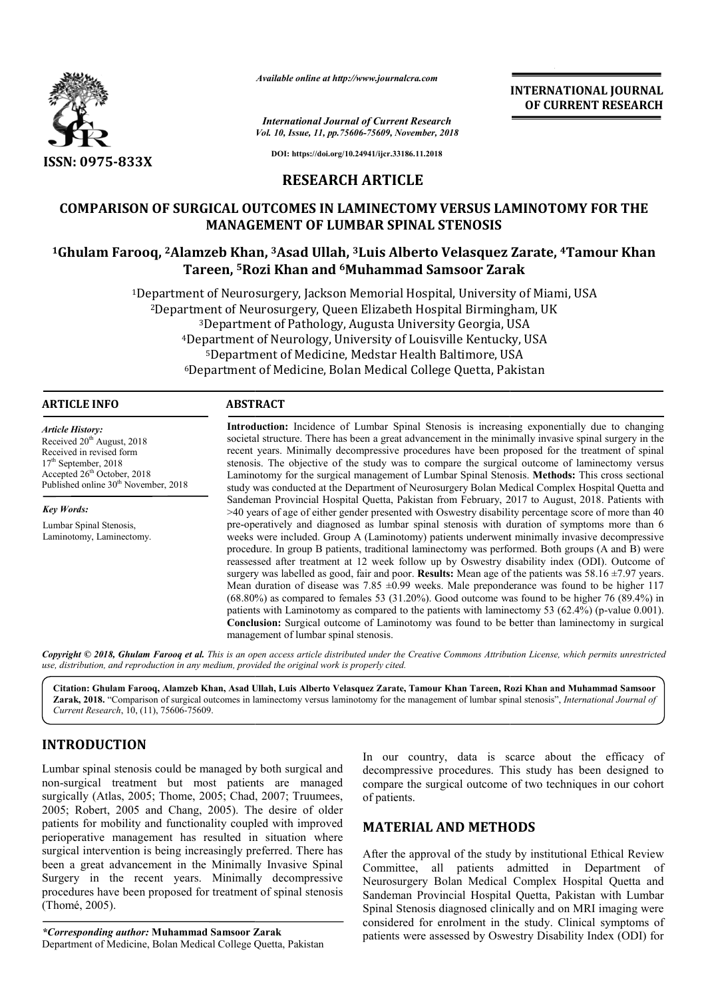

*International Journal of Current Research Vol. 10, Issue, 11, pp.75606-75609, November, 2018* **INTERNATIONAL JOURNAL OF CURRENT RESEARCH**

**DOI: https://doi.org/10.24941/ijcr.33186.11.2018**

### **RESEARCH ARTICLE**

# **COMPARISON OF SURGICAL OUTCOMES IN LAMINECTOMY VERSUS LAMINOTOMY FOR THE MANAGEMENT OF LUMBAR SPINAL STENOSIS** COMPARISON OF SURGICAL OUTCOMES IN LAMINECTOMY VERSUS LAMINOTOMY FOR THE<br>MANAGEMENT OF LUMBAR SPINAL STENOSIS<br><sup>1</sup>Ghulam Farooq, <sup>2</sup>Alamzeb Khan, <sup>3</sup>Asad Ullah, <sup>3</sup>Luis Alberto Velasquez Zarate, <sup>4</sup>Tamour Khan

# **Tareen, 5Rozi Khan and Rozi 6Muhammad Samsoor Zarak Muhammad**

<sup>1</sup>Department of Neurosurgery, Jackson Memorial Hospital, University of Miami, USA<br>
<sup>2</sup>Department of Neurosurgery, Queen Elizabeth Hospital Birmingham, UK<br>
<sup>3</sup>Department of Pathology, Augusta University Georgia, USA<br>
<sup>4</sup>De 2Department of Neurosurgery, Queen Elizabeth Hospital B 3Department of Pathology, Augusta University Georgia, USA 4Department of Neurology, University of Louisville Kentucky, USA 5Department of Medicine, Medstar Health Baltimore, USA <sup>3</sup>Department of Pathology, Augusta University Georgia, USA<br>
<sup>4</sup>Department of Neurology, University of Louisville Kentucky, USA<br>
<sup>5</sup>Department of Medicine, Medstar Health Baltimore, USA<br>
<sup>6</sup>Department of Medicine, Bolan Me

#### **ARTICLE INFO ABSTRACT**

Received 20<sup>th</sup> August, 2018 Received in revised form 17<sup>th</sup> September, 2018 Accepted 26<sup>th</sup> October, 2018 Published online 30<sup>th</sup> November, 2018

Lumbar Spinal Stenosis, Laminotomy, Laminectomy.

*Article History:*

*Key Words:*

**Introduction:**  Incidence of Lumbar Spinal Stenosis is increasing exponentially due to changing societal structure. There has been a great advancement in the minimally invasive spinal surgery in the recent years. Minimally decompressive procedures have been proposed for the treatment of spinal stenosis. The objective of the study was to compare the surgical outcome of laminectomy versus Laminotomy for the surgical management of Lumbar Spinal Stenosis. Methods: This cross sectional study was conducted at the Department of Neurosurgery Bolan Medical Complex Hospital Quetta and Sandeman Provincial Hospital Quetta, Pakistan from February, 2017 to August, 2018. Patients with >40 years of age of either gender presented with Oswestry disability percentage score of more than 40 pre-operatively and diagnosed as lumbar spinal stenosis with duration of symptoms more than 6 weeks were included. Group A (Laminotomy) patients underwent minimally invasive decompressive procedure. In group B patients, traditional laminectomy was performed. Both groups (A and B) were reassessed after treatment at 12 week follow up by Oswestry disability index (ODI). Outcome of surgery was labelled as good, fair and poor. **Results:** Mean age of the patients was 58.16 ±7.97 years. Mean duration of disease was 7.85  $\pm$ 0.99 weeks. Male preponderance was found to be higher 117 (68.80%) as compared to females 53 (31.20%). Good outcome was found to be higher 76 (89.4%) in Mean duration of disease was 7.85  $\pm 0.99$  weeks. Male preponderance was found to be higher 117 (68.80%) as compared to females 53 (31.20%). Good outcome was found to be higher 76 (89.4%) in patients with Laminotomy as c **Conclusion:** Surgical outcome of Laminotomy was found to be better than laminectomy in surgical management of lumbar spinal stenosis. pre-operatively and diagnosed as lumbar spinal stenosis with duration of symptoms more than 6 weeks were included. Group A (Laminotomy) patients underwent minimally invasive decompressive procedure. In group B patients, tr Available online at http://www.journalcra.com<br> *Available online at http://www.journalcra.com*<br> *Vol. 10, Issue, 11, pp. 75606-75609, November,*<br> **RESEARCH ARTICLE**<br> **RESEARCH ARTICLE**<br> **RESEARCH ARTICLE**<br> **RESEARCH ARTICL** Introduction: Incidence of Lumbar Spinal Stenosis is increasing exponentially due to changing societal structure. There has been a great advancement in the minimally invasive spinal surgery in the recent years. Minimally d study was conducted at the Department of Neurosurgery Bolan Medical Complex Hospital Quetta and Sandeman Provincial Hospital Quetta, Pakistan from February, 2017 to August, 2018. Patients with >40 years of age of either ge INTERNATIONAL JOURNAL<br>
OF CURRENT RESEARCH<br>
OF CURRENT RESEARCH<br>
OF CURRENT RESEARCH<br>
ISS<br>
1222 Zarate, <sup>4</sup>Tamour Khan<br>
EISS<br>
1222 Zarate, <sup>4</sup>Tamour Khan<br>
Iningham, UK<br>
Iningham, UK<br>
iningham, UK<br>
e, USA<br>
a, Pakistan<br>
mimi

Copyright © 2018, Ghulam Farooq et al. This is an open access article distributed under the Creative Commons Attribution License, which permits unrestrictea *use, distribution, and reproduction in any medium, provided the original work is properly cited.*

**Citation: Ghulam Farooq, Alamzeb Khan, Asad Ullah, Luis Alberto Velasquez Zarate, Tamour Khan Tareen, Rozi Khan and Rozi Muhammad Samsoor Zarak, 2018.** "Comparison of surgical outcomes in laminectomy versus laminotomy for the management of lumbar spinal stenosis", *International Journal of Current Research*, 10, (11), 75606-75609.

# **INTRODUCTION**

Lumbar spinal stenosis could be managed by both surgical and non-surgical treatment but most patients are managed surgically (Atlas, 2005; Thome, 2005; Chad, 2007; Truumees, 2005; Robert, 2005 and Chang, 2005). The desire of older patients for mobility and functionality coupled with improved perioperative management has resulted in situation where surgical intervention is being increasingly preferred. There has been a great advancement in the Minimally Invasive Spinal Surgery in the recent years. Minimally decompressive procedures have been proposed for treatment of spinal stenosis (Thomé, 2005). surgical treatment but most patients are managed<br>ically (Atlas, 2005; Thome, 2005; Chad, 2007; Truumees,<br>5; Robert, 2005 and Chang, 2005). The desire of older<br>ents for mobility and functionality coupled with improved<br>opera

*\*Corresponding author:* **Muhammad Samsoor Zarak** Department of Medicine, Bolan Medical College Quetta, Pakistan

In our country, data is scarce about the efficacy of decompressive procedures. This study has been designed to compare the surgical outcome of two techniques in our cohort of patients. decompressive procedures. This study has been designed to<br>compare the surgical outcome of two techniques in our cohort<br>of patients.<br>**MATERIAL AND METHODS**<br>After the approval of the study by institutional Ethical Review<br>Com

#### **MATERIAL AND METHODS**

After the approval of the study by institutional Ethical Review Committee, all patients admitted in Department of Neurosurgery Bolan Medical Complex Hospital Quetta and Sandeman Provincial Hospital Quetta, Pakistan with Lumbar Spinal Stenosis diagnosed clinically and on MRI imaging were considered for enrolment in the study. Clinical symptoms patients were assessed by Oswestry Disability Index (ODI) for ry Bolan Medical Complex Hospital Quetta and<br>Provincial Hospital Quetta, Pakistan with Lumbar<br>osis diagnosed clinically and on MRI imaging were<br>for enrolment in the study. Clinical symptoms of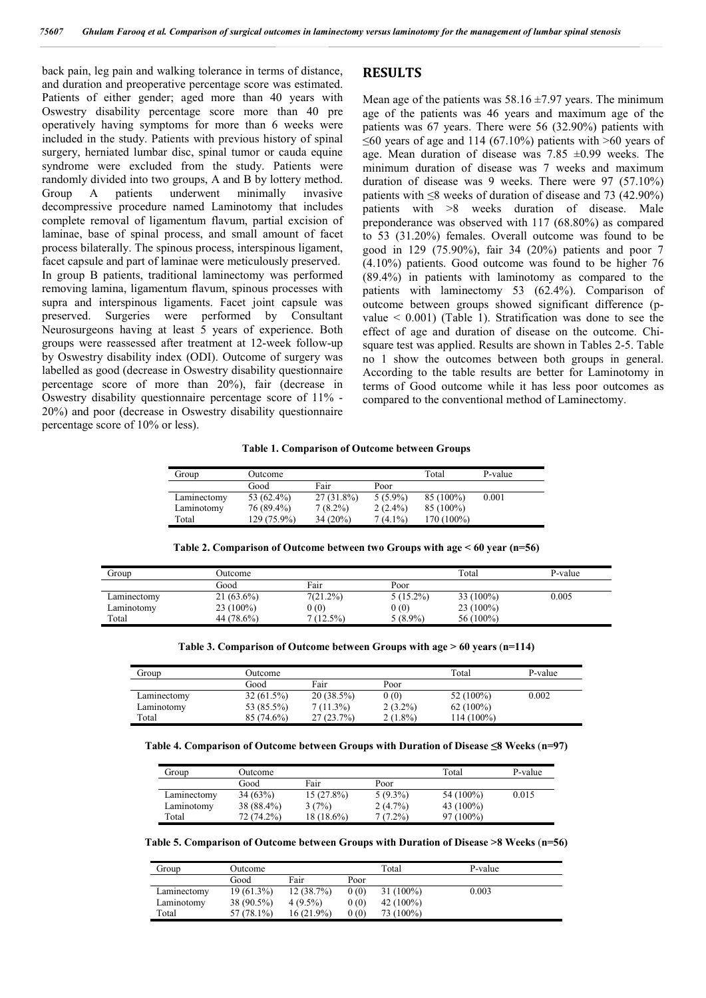back pain, leg pain and walking tolerance in terms of distance, and duration and preoperative percentage score was estimated. Patients of either gender; aged more than 40 years with Oswestry disability percentage score more than 40 pre operatively having symptoms for more than 6 weeks were included in the study. Patients with previous history of spinal surgery, herniated lumbar disc, spinal tumor or cauda equine syndrome were excluded from the study. Patients were randomly divided into two groups, A and B by lottery method. Group A patients underwent minimally invasive decompressive procedure named Laminotomy that includes complete removal of ligamentum flavum, partial excision of laminae, base of spinal process, and small amount of facet process bilaterally. The spinous process, interspinous ligament, facet capsule and part of laminae were meticulously preserved. In group B patients, traditional laminectomy was performed removing lamina, ligamentum flavum, spinous processes with supra and interspinous ligaments. Facet joint capsule was preserved. Surgeries were performed by Consultant Neurosurgeons having at least 5 years of experience. Both groups were reassessed after treatment at 12-week follow-up by Oswestry disability index (ODI). Outcome of surgery was labelled as good (decrease in Oswestry disability questionnaire percentage score of more than 20%), fair (decrease in Oswestry disability questionnaire percentage score of 11% - 20%) and poor (decrease in Oswestry disability questionnaire percentage score of 10% or less).

#### **RESULTS**

Mean age of the patients was  $58.16 \pm 7.97$  years. The minimum age of the patients was 46 years and maximum age of the patients was 67 years. There were 56 (32.90%) patients with  $\leq 60$  years of age and 114 (67.10%) patients with >60 years of age. Mean duration of disease was  $7.85 \pm 0.99$  weeks. The minimum duration of disease was 7 weeks and maximum duration of disease was 9 weeks. There were 97 (57.10%) patients with  $\leq$ 8 weeks of duration of disease and 73 (42.90%) patients with >8 weeks duration of disease. Male preponderance was observed with 117 (68.80%) as compared to 53 (31.20%) females. Overall outcome was found to be good in 129 (75.90%), fair 34 (20%) patients and poor 7 (4.10%) patients. Good outcome was found to be higher 76 (89.4%) in patients with laminotomy as compared to the patients with laminectomy 53 (62.4%). Comparison of outcome between groups showed significant difference (pvalue  $\leq 0.001$ ) (Table 1). Stratification was done to see the effect of age and duration of disease on the outcome. Chisquare test was applied. Results are shown in Tables 2-5. Table no 1 show the outcomes between both groups in general. According to the table results are better for Laminotomy in terms of Good outcome while it has less poor outcomes as compared to the conventional method of Laminectomy.

**Table 1. Comparison of Outcome between Groups**

| Group       | Outcome     |              |            | Total      | P-value |
|-------------|-------------|--------------|------------|------------|---------|
|             | Good        | Fair         | Poor       |            |         |
| Laminectomy | 53 (62.4%)  | $27(31.8\%)$ | $5(5.9\%)$ | 85 (100%)  | 0.001   |
| Laminotomy  | 76 (89.4%)  | $7(8.2\%)$   | $2(2.4\%)$ | 85 (100%)  |         |
| Total       | 129 (75.9%) | $34(20\%)$   | $7(4.1\%)$ | 170 (100%) |         |

**Table 2. Comparison of Outcome between two Groups with age < 60 year (n=56)**

| Group       | <b>Dutcome</b> |             |             |             | P-value |
|-------------|----------------|-------------|-------------|-------------|---------|
|             | Good           | Fair        | Poor        |             |         |
| Laminectomy | $21(63.6\%)$   | 7(21.2%)    | $5(15.2\%)$ | $33(100\%)$ | 0.005   |
| Laminotomy  | $23(100\%)$    | 0(0)        | 0(0)        | 23 (100%)   |         |
| Total       | 44 (78.6%)     | $7(12.5\%)$ | $5(8.9\%)$  | 56 (100%)   |         |

**Table 3. Comparison of Outcome between Groups with age > 60 years** (**n=114)**

| Group       | Outcome      |              |            |              | P-value |
|-------------|--------------|--------------|------------|--------------|---------|
|             | Good         | Fair         | Poor       |              |         |
| Laminectomy | $32(61.5\%)$ | $20(38.5\%)$ | 0(0)       | 52 (100%)    | 0.002   |
| Laminotomy  | 53 (85.5%)   | $7(11.3\%)$  | $2(3.2\%)$ | $62(100\%)$  |         |
| Total       | 85 (74.6%)   | 27(23.7%)    | $2(1.8\%)$ | $114(100\%)$ |         |

**Table 4. Comparison of Outcome between Groups with Duration of Disease ≤8 Weeks** (**n=97)**

| Group       | Outcome    |              | Total      | P-value   |       |
|-------------|------------|--------------|------------|-----------|-------|
|             | Good       | Fair         | Poor       |           |       |
| Laminectomy | 34(63%)    | $15(27.8\%)$ | $5(9.3\%)$ | 54 (100%) | 0.015 |
| Laminotomy  | 38 (88.4%) | 3(7%)        | 2(4.7%)    | 43 (100%) |       |
| Total       | 72 (74.2%) | $18(18.6\%)$ | $7(7.2\%)$ | 97 (100%) |       |

**Table 5. Comparison of Outcome between Groups with Duration of Disease >8 Weeks** (**n=56)**

| Group       | Outcome    |              |      | Total       | P-value |  |
|-------------|------------|--------------|------|-------------|---------|--|
|             | Good       | Fair         | Poor |             |         |  |
| Laminectomy | 19 (61.3%) | 12(38.7%)    | 0(0) | $31(100\%)$ | 0.003   |  |
| Laminotomy  | 38 (90.5%) | $4(9.5\%)$   | 0(0) | $42(100\%)$ |         |  |
| Total       | 57 (78.1%) | $16(21.9\%)$ | 0(0) | 73 (100%)   |         |  |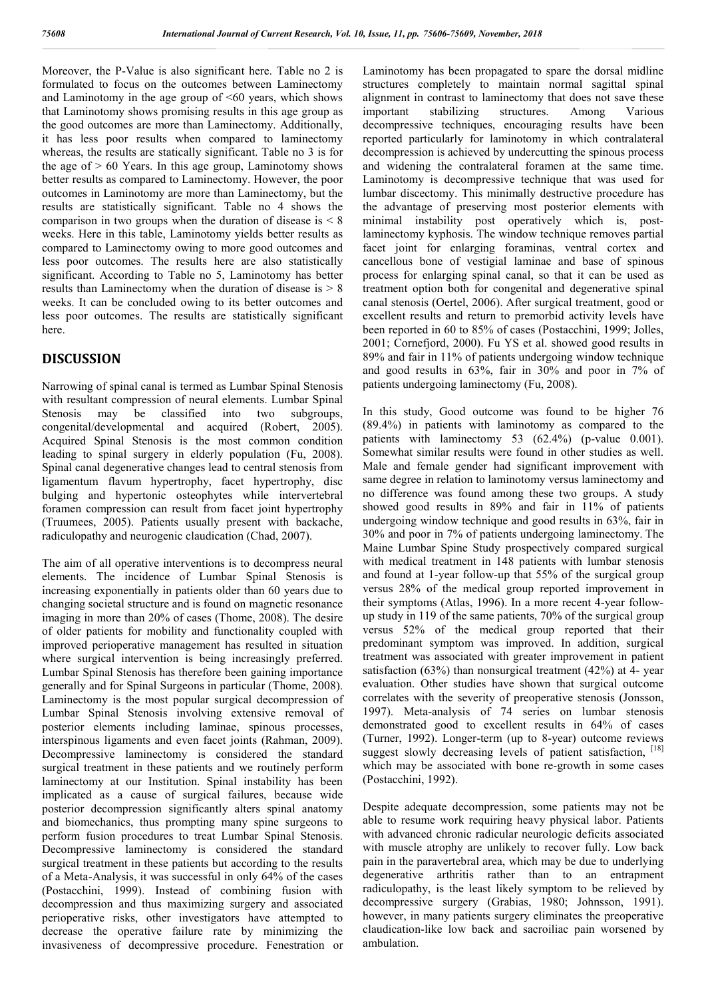Moreover, the P-Value is also significant here. Table no 2 is formulated to focus on the outcomes between Laminectomy and Laminotomy in the age group of  $\leq 60$  years, which shows that Laminotomy shows promising results in this age group as the good outcomes are more than Laminectomy. Additionally, it has less poor results when compared to laminectomy whereas, the results are statically significant. Table no 3 is for the age of  $> 60$  Years. In this age group, Laminotomy shows better results as compared to Laminectomy. However, the poor outcomes in Laminotomy are more than Laminectomy, but the results are statistically significant. Table no 4 shows the comparison in two groups when the duration of disease is  $\leq 8$ weeks. Here in this table, Laminotomy yields better results as compared to Laminectomy owing to more good outcomes and less poor outcomes. The results here are also statistically significant. According to Table no 5, Laminotomy has better results than Laminectomy when the duration of disease is  $> 8$ weeks. It can be concluded owing to its better outcomes and less poor outcomes. The results are statistically significant here.

## **DISCUSSION**

Narrowing of spinal canal is termed as Lumbar Spinal Stenosis with resultant compression of neural elements. Lumbar Spinal Stenosis may be classified into two subgroups, congenital/developmental and acquired (Robert, 2005). Acquired Spinal Stenosis is the most common condition leading to spinal surgery in elderly population (Fu, 2008). Spinal canal degenerative changes lead to central stenosis from ligamentum flavum hypertrophy, facet hypertrophy, disc bulging and hypertonic osteophytes while intervertebral foramen compression can result from facet joint hypertrophy (Truumees, 2005). Patients usually present with backache, radiculopathy and neurogenic claudication (Chad, 2007).

The aim of all operative interventions is to decompress neural elements. The incidence of Lumbar Spinal Stenosis is increasing exponentially in patients older than 60 years due to changing societal structure and is found on magnetic resonance imaging in more than 20% of cases (Thome, 2008). The desire of older patients for mobility and functionality coupled with improved perioperative management has resulted in situation where surgical intervention is being increasingly preferred. Lumbar Spinal Stenosis has therefore been gaining importance generally and for Spinal Surgeons in particular (Thome, 2008). Laminectomy is the most popular surgical decompression of Lumbar Spinal Stenosis involving extensive removal of posterior elements including laminae, spinous processes, interspinous ligaments and even facet joints (Rahman, 2009). Decompressive laminectomy is considered the standard surgical treatment in these patients and we routinely perform laminectomy at our Institution. Spinal instability has been implicated as a cause of surgical failures, because wide posterior decompression significantly alters spinal anatomy and biomechanics, thus prompting many spine surgeons to perform fusion procedures to treat Lumbar Spinal Stenosis. Decompressive laminectomy is considered the standard surgical treatment in these patients but according to the results of a Meta-Analysis, it was successful in only 64% of the cases (Postacchini, 1999). Instead of combining fusion with decompression and thus maximizing surgery and associated perioperative risks, other investigators have attempted to decrease the operative failure rate by minimizing the invasiveness of decompressive procedure. Fenestration or

Laminotomy has been propagated to spare the dorsal midline structures completely to maintain normal sagittal spinal alignment in contrast to laminectomy that does not save these important stabilizing structures. Among Various decompressive techniques, encouraging results have been reported particularly for laminotomy in which contralateral decompression is achieved by undercutting the spinous process and widening the contralateral foramen at the same time. Laminotomy is decompressive technique that was used for lumbar discectomy. This minimally destructive procedure has the advantage of preserving most posterior elements with minimal instability post operatively which is, postlaminectomy kyphosis. The window technique removes partial facet joint for enlarging foraminas, ventral cortex and cancellous bone of vestigial laminae and base of spinous process for enlarging spinal canal, so that it can be used as treatment option both for congenital and degenerative spinal canal stenosis (Oertel, 2006). After surgical treatment, good or excellent results and return to premorbid activity levels have been reported in 60 to 85% of cases (Postacchini, 1999; Jolles, 2001; Cornefjord, 2000). Fu YS et al. showed good results in 89% and fair in 11% of patients undergoing window technique and good results in 63%, fair in 30% and poor in 7% of patients undergoing laminectomy (Fu, 2008).

In this study, Good outcome was found to be higher 76 (89.4%) in patients with laminotomy as compared to the patients with laminectomy 53 (62.4%) (p-value 0.001). Somewhat similar results were found in other studies as well. Male and female gender had significant improvement with same degree in relation to laminotomy versus laminectomy and no difference was found among these two groups. A study showed good results in 89% and fair in 11% of patients undergoing window technique and good results in 63%, fair in 30% and poor in 7% of patients undergoing laminectomy. The Maine Lumbar Spine Study prospectively compared surgical with medical treatment in 148 patients with lumbar stenosis and found at 1-year follow-up that 55% of the surgical group versus 28% of the medical group reported improvement in their symptoms (Atlas, 1996). In a more recent 4-year followup study in 119 of the same patients, 70% of the surgical group versus 52% of the medical group reported that their predominant symptom was improved. In addition, surgical treatment was associated with greater improvement in patient satisfaction (63%) than nonsurgical treatment (42%) at 4- year evaluation. Other studies have shown that surgical outcome correlates with the severity of preoperative stenosis (Jonsson, 1997). Meta-analysis of 74 series on lumbar stenosis demonstrated good to excellent results in 64% of cases (Turner, 1992). Longer-term (up to 8-year) outcome reviews suggest slowly decreasing levels of patient satisfaction, [18] which may be associated with bone re-growth in some cases (Postacchini, 1992).

Despite adequate decompression, some patients may not be able to resume work requiring heavy physical labor. Patients with advanced chronic radicular neurologic deficits associated with muscle atrophy are unlikely to recover fully. Low back pain in the paravertebral area, which may be due to underlying degenerative arthritis rather than to an entrapment radiculopathy, is the least likely symptom to be relieved by decompressive surgery (Grabias, 1980; Johnsson, 1991). however, in many patients surgery eliminates the preoperative claudication-like low back and sacroiliac pain worsened by ambulation.